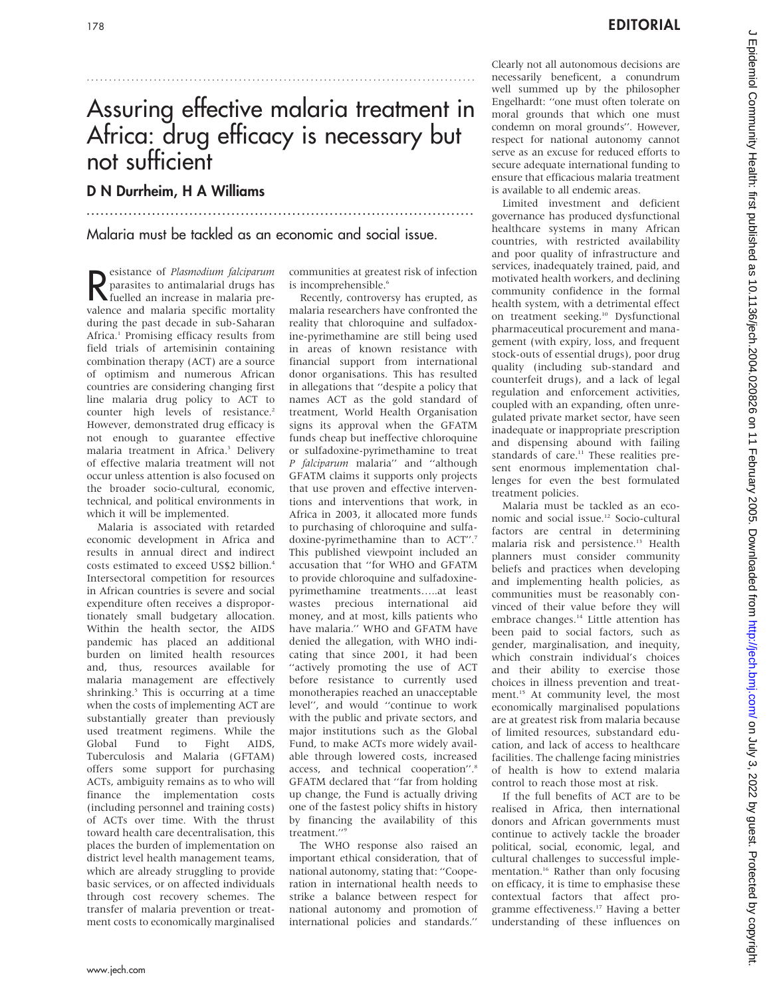# Assuring effective malaria treatment in Africa: drug efficacy is necessary but not sufficient

...................................................................................

.......................................................................................

## D N Durrheim, H A Williams

Malaria must be tackled as an economic and social issue.

Resistance of *Plasmodium falciparum*<br>
parasites to antimalarial drugs has<br>
fuelled an increase in malaria preparasites to antimalarial drugs has fuelled an increase in malaria prevalence and malaria specific mortality during the past decade in sub-Saharan Africa.<sup>1</sup> Promising efficacy results from field trials of artemisinin containing combination therapy (ACT) are a source of optimism and numerous African countries are considering changing first line malaria drug policy to ACT to counter high levels of resistance.<sup>2</sup> However, demonstrated drug efficacy is not enough to guarantee effective malaria treatment in Africa.<sup>3</sup> Delivery of effective malaria treatment will not occur unless attention is also focused on the broader socio-cultural, economic, technical, and political environments in which it will be implemented.

Malaria is associated with retarded economic development in Africa and results in annual direct and indirect costs estimated to exceed US\$2 billion.4 Intersectoral competition for resources in African countries is severe and social expenditure often receives a disproportionately small budgetary allocation. Within the health sector, the AIDS pandemic has placed an additional burden on limited health resources and, thus, resources available for malaria management are effectively shrinking.<sup>5</sup> This is occurring at a time when the costs of implementing ACT are substantially greater than previously used treatment regimens. While the Global Fund to Fight AIDS, Tuberculosis and Malaria (GFTAM) offers some support for purchasing ACTs, ambiguity remains as to who will finance the implementation costs (including personnel and training costs) of ACTs over time. With the thrust toward health care decentralisation, this places the burden of implementation on district level health management teams, which are already struggling to provide basic services, or on affected individuals through cost recovery schemes. The transfer of malaria prevention or treatment costs to economically marginalised communities at greatest risk of infection is incomprehensible.<sup>6</sup>

Recently, controversy has erupted, as malaria researchers have confronted the reality that chloroquine and sulfadoxine-pyrimethamine are still being used in areas of known resistance with financial support from international donor organisations. This has resulted in allegations that ''despite a policy that names ACT as the gold standard of treatment, World Health Organisation signs its approval when the GFATM funds cheap but ineffective chloroquine or sulfadoxine-pyrimethamine to treat P falciparum malaria'' and ''although GFATM claims it supports only projects that use proven and effective interventions and interventions that work, in Africa in 2003, it allocated more funds to purchasing of chloroquine and sulfadoxine-pyrimethamine than to ACT".7 This published viewpoint included an accusation that ''for WHO and GFATM to provide chloroquine and sulfadoxinepyrimethamine treatments…..at least wastes precious international aid money, and at most, kills patients who have malaria.'' WHO and GFATM have denied the allegation, with WHO indicating that since 2001, it had been ''actively promoting the use of ACT before resistance to currently used monotherapies reached an unacceptable level'', and would ''continue to work with the public and private sectors, and major institutions such as the Global Fund, to make ACTs more widely available through lowered costs, increased access, and technical cooperation''.8 GFATM declared that ''far from holding up change, the Fund is actually driving one of the fastest policy shifts in history by financing the availability of this treatment.''9

The WHO response also raised an important ethical consideration, that of national autonomy, stating that: ''Cooperation in international health needs to strike a balance between respect for national autonomy and promotion of international policies and standards.''

Clearly not all autonomous decisions are necessarily beneficent, a conundrum well summed up by the philosopher Engelhardt: ''one must often tolerate on moral grounds that which one must condemn on moral grounds''. However, respect for national autonomy cannot serve as an excuse for reduced efforts to secure adequate international funding to ensure that efficacious malaria treatment is available to all endemic areas.

Limited investment and deficient governance has produced dysfunctional healthcare systems in many African countries, with restricted availability and poor quality of infrastructure and services, inadequately trained, paid, and motivated health workers, and declining community confidence in the formal health system, with a detrimental effect on treatment seeking.<sup>10</sup> Dysfunctional pharmaceutical procurement and management (with expiry, loss, and frequent stock-outs of essential drugs), poor drug quality (including sub-standard and counterfeit drugs), and a lack of legal regulation and enforcement activities, coupled with an expanding, often unregulated private market sector, have seen inadequate or inappropriate prescription and dispensing abound with failing standards of care.<sup>11</sup> These realities present enormous implementation challenges for even the best formulated treatment policies.

Malaria must be tackled as an economic and social issue.12 Socio-cultural factors are central in determining malaria risk and persistence.<sup>13</sup> Health planners must consider community beliefs and practices when developing and implementing health policies, as communities must be reasonably convinced of their value before they will embrace changes.14 Little attention has been paid to social factors, such as gender, marginalisation, and inequity, which constrain individual's choices and their ability to exercise those choices in illness prevention and treatment.<sup>15</sup> At community level, the most economically marginalised populations are at greatest risk from malaria because of limited resources, substandard education, and lack of access to healthcare facilities. The challenge facing ministries of health is how to extend malaria control to reach those most at risk.

If the full benefits of ACT are to be realised in Africa, then international donors and African governments must continue to actively tackle the broader political, social, economic, legal, and cultural challenges to successful implementation.<sup>16</sup> Rather than only focusing on efficacy, it is time to emphasise these contextual factors that affect programme effectiveness.17 Having a better understanding of these influences on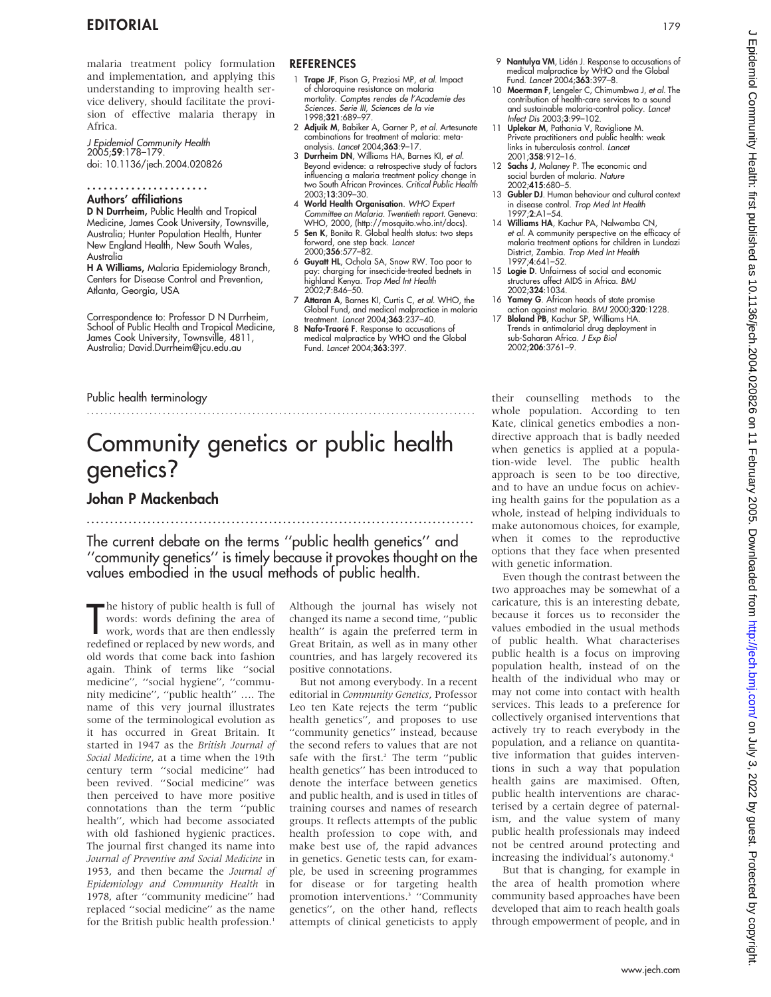malaria treatment policy formulation and implementation, and applying this understanding to improving health service delivery, should facilitate the provision of effective malaria therapy in Africa.

J Epidemiol Community Health 2005;59:178–179. doi: 10.1136/jech.2004.020826

#### Authors' affiliations ......................

D N Durrheim, Public Health and Tropical Medicine, James Cook University, Townsville, Australia; Hunter Population Health, Hunter New England Health, New South Wales, Australia

H A Williams, Malaria Epidemiology Branch, Centers for Disease Control and Prevention, Atlanta, Georgia, USA

Correspondence to: Professor D N Durrheim, School of Public Health and Tropical Medicine, James Cook University, Townsville, 4811, Australia; David.Durrheim@jcu.edu.au

### **REFERENCES**

- 1 Trape JF, Pison G, Preziosi MP, et al. Impact of chloroquine resistance on malaria mortality. Comptes rendes de l'Academie des Sciences. Serie III, Sciences de la vie 1998;321:689–97.
- 2 Adjuik M, Babiker A, Garner P, et al. Artesunate combinations for treatment of malaria: metaanalysis. Lancet 2004;363:9–17.
- 3 Durrheim DN, Williams HA, Barnes KI, et al. Beyond evidence: a retrospective study of factors influencing a malaria treatment policy change in two South African Provinces. Critical Public Health 2003;13:309–30.
- 4 World Health Organisation. WHO Expert Committee on Malaria. Twentieth report. Geneva: WHO, 2000, (http://mosquito.who.int/docs).
- Sen K, Bonita R. Global health status: two steps forward, one step back. Lancet 2000;356:577–82.
- 6 Guyatt HL, Ochola SA, Snow RW. Too poor to pay: charging for insecticide-treated bednets in highland Kenya. Trop Med Int Health 2002;7:846–50.
- 7 Attaran A, Barnes KI, Curtis C, et al. WHO, the Global Fund, and medical malpractice in malaria treatment. Lancet 2004;363:237–40.
- 8 Nafo-Traoré F. Response to accusations of medical malpractice by WHO and the Global Fund. Lancet 2004;363:397.
- 9 **Nantulya VM**, Lidén J. Response to accusations of medical malpractice by WHO and the Global Fund. Lancet 2004;363:397–8.
- 10 Moerman F, Lengeler C, Chimumbwa J, et al. The contribution of health-care services to a sound and sustainable malaria-control policy. Lancet Infect Dis 2003;3:99–102.
- 11 Uplekar M, Pathania V, Raviglione M. Private practitioners and public health: weak links in tuberculosis control. Lancet 2001;358:912–16.
- 12 Sachs J, Malaney P. The economic and<br>social burden of malaria. Nature 2002;415:680–5.
- 13 Gubler DJ. Human behaviour and cultural context in disease control. Trop Med Int Health 1997;2:A1–54.
- 14 Williams HA, Kachur PA, Nalwamba CN, et al. A community perspective on the efficacy of malaria treatment options for children in Lundazi District, Zambia. Trop Med Int Health 1997;4:641–52.
- 15 Logie D. Unfairness of social and economic structures affect AIDS in Africa. BMJ 2002;324:1034.
- 16 Yamey G. African heads of state promise action against malaria. BMJ 2000;320:1228.
- 17 Bloland PB, Kachur SP, Williams HA. Trends in antimalarial drug deployment in sub-Saharan Africa. J Exp Biol 2002;206:3761–9.

### Public health terminology .......................................................................................

# Community genetics or public health genetics?

## Johan P Mackenbach

The current debate on the terms ''public health genetics'' and ''community genetics'' is timely because it provokes thought on the values embodied in the usual methods of public health.

...................................................................................

The history of public health is full of<br>words: words defining the area of<br>work, words that are then endlessly<br>redefined or replaced by new words, and he history of public health is full of words: words defining the area of work, words that are then endlessly old words that come back into fashion again. Think of terms like ''social medicine'', ''social hygiene'', ''community medicine'', ''public health'' …. The name of this very journal illustrates some of the terminological evolution as it has occurred in Great Britain. It started in 1947 as the British Journal of Social Medicine, at a time when the 19th century term ''social medicine'' had been revived. ''Social medicine'' was then perceived to have more positive connotations than the term ''public health'', which had become associated with old fashioned hygienic practices. The journal first changed its name into Journal of Preventive and Social Medicine in 1953, and then became the Journal of Epidemiology and Community Health in 1978, after ''community medicine'' had replaced ''social medicine'' as the name for the British public health profession.<sup>1</sup>

Although the journal has wisely not changed its name a second time, ''public health'' is again the preferred term in Great Britain, as well as in many other countries, and has largely recovered its positive connotations.

But not among everybody. In a recent editorial in Community Genetics, Professor Leo ten Kate rejects the term ''public health genetics'', and proposes to use ''community genetics'' instead, because the second refers to values that are not safe with the first.<sup>2</sup> The term "public health genetics'' has been introduced to denote the interface between genetics and public health, and is used in titles of training courses and names of research groups. It reflects attempts of the public health profession to cope with, and make best use of, the rapid advances in genetics. Genetic tests can, for example, be used in screening programmes for disease or for targeting health promotion interventions.3 ''Community genetics'', on the other hand, reflects attempts of clinical geneticists to apply

their counselling methods to the whole population. According to ten Kate, clinical genetics embodies a nondirective approach that is badly needed when genetics is applied at a population-wide level. The public health approach is seen to be too directive, and to have an undue focus on achieving health gains for the population as a whole, instead of helping individuals to make autonomous choices, for example, when it comes to the reproductive options that they face when presented with genetic information.

Even though the contrast between the two approaches may be somewhat of a caricature, this is an interesting debate, because it forces us to reconsider the values embodied in the usual methods of public health. What characterises public health is a focus on improving population health, instead of on the health of the individual who may or may not come into contact with health services. This leads to a preference for collectively organised interventions that actively try to reach everybody in the population, and a reliance on quantitative information that guides interventions in such a way that population health gains are maximised. Often, public health interventions are characterised by a certain degree of paternalism, and the value system of many public health professionals may indeed not be centred around protecting and increasing the individual's autonomy.4

But that is changing, for example in the area of health promotion where community based approaches have been developed that aim to reach health goals through empowerment of people, and in